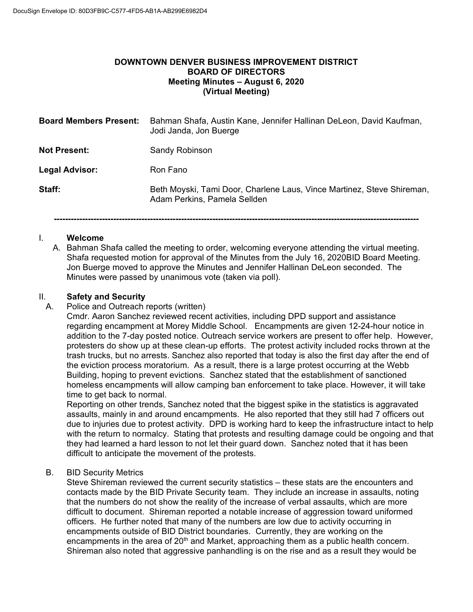#### **DOWNTOWN DENVER BUSINESS IMPROVEMENT DISTRICT BOARD OF DIRECTORS Meeting Minutes – August 6, 2020 (Virtual Meeting)**

| <b>Board Members Present:</b> | Bahman Shafa, Austin Kane, Jennifer Hallinan DeLeon, David Kaufman,<br>Jodi Janda, Jon Buerge          |
|-------------------------------|--------------------------------------------------------------------------------------------------------|
| <b>Not Present:</b>           | <b>Sandy Robinson</b>                                                                                  |
| <b>Legal Advisor:</b>         | Ron Fano                                                                                               |
| Staff:                        | Beth Moyski, Tami Door, Charlene Laus, Vince Martinez, Steve Shireman,<br>Adam Perkins, Pamela Sellden |

#### **---------------------------------------------------------------------------------------------------------------------------------**

#### I. **Welcome**

A. Bahman Shafa called the meeting to order, welcoming everyone attending the virtual meeting. Shafa requested motion for approval of the Minutes from the July 16, 2020BID Board Meeting. Jon Buerge moved to approve the Minutes and Jennifer Hallinan DeLeon seconded. The Minutes were passed by unanimous vote (taken via poll).

# II. **Safety and Security**

Police and Outreach reports (written)

Cmdr. Aaron Sanchez reviewed recent activities, including DPD support and assistance regarding encampment at Morey Middle School. Encampments are given 12-24-hour notice in addition to the 7-day posted notice. Outreach service workers are present to offer help. However, protesters do show up at these clean-up efforts. The protest activity included rocks thrown at the trash trucks, but no arrests. Sanchez also reported that today is also the first day after the end of the eviction process moratorium. As a result, there is a large protest occurring at the Webb Building, hoping to prevent evictions. Sanchez stated that the establishment of sanctioned homeless encampments will allow camping ban enforcement to take place. However, it will take time to get back to normal.

Reporting on other trends, Sanchez noted that the biggest spike in the statistics is aggravated assaults, mainly in and around encampments. He also reported that they still had 7 officers out due to injuries due to protest activity. DPD is working hard to keep the infrastructure intact to help with the return to normalcy. Stating that protests and resulting damage could be ongoing and that they had learned a hard lesson to not let their guard down. Sanchez noted that it has been difficult to anticipate the movement of the protests.

#### B. BID Security Metrics

Steve Shireman reviewed the current security statistics – these stats are the encounters and contacts made by the BID Private Security team. They include an increase in assaults, noting that the numbers do not show the reality of the increase of verbal assaults, which are more difficult to document. Shireman reported a notable increase of aggression toward uniformed officers. He further noted that many of the numbers are low due to activity occurring in encampments outside of BID District boundaries. Currently, they are working on the encampments in the area of  $20<sup>th</sup>$  and Market, approaching them as a public health concern. Shireman also noted that aggressive panhandling is on the rise and as a result they would be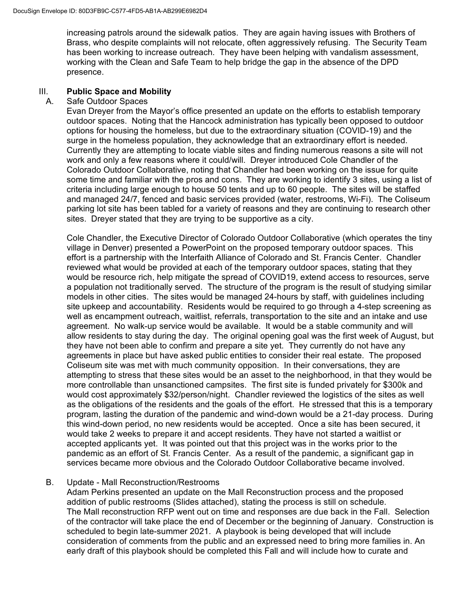increasing patrols around the sidewalk patios. They are again having issues with Brothers of Brass, who despite complaints will not relocate, often aggressively refusing. The Security Team has been working to increase outreach. They have been helping with vandalism assessment, working with the Clean and Safe Team to help bridge the gap in the absence of the DPD presence.

#### III. **Public Space and Mobility**

#### A. Safe Outdoor Spaces

Evan Dreyer from the Mayor's office presented an update on the efforts to establish temporary outdoor spaces. Noting that the Hancock administration has typically been opposed to outdoor options for housing the homeless, but due to the extraordinary situation (COVID-19) and the surge in the homeless population, they acknowledge that an extraordinary effort is needed. Currently they are attempting to locate viable sites and finding numerous reasons a site will not work and only a few reasons where it could/will. Dreyer introduced Cole Chandler of the Colorado Outdoor Collaborative, noting that Chandler had been working on the issue for quite some time and familiar with the pros and cons. They are working to identify 3 sites, using a list of criteria including large enough to house 50 tents and up to 60 people. The sites will be staffed and managed 24/7, fenced and basic services provided (water, restrooms, Wi-Fi). The Coliseum parking lot site has been tabled for a variety of reasons and they are continuing to research other sites. Dreyer stated that they are trying to be supportive as a city.

Cole Chandler, the Executive Director of Colorado Outdoor Collaborative (which operates the tiny village in Denver) presented a PowerPoint on the proposed temporary outdoor spaces. This effort is a partnership with the Interfaith Alliance of Colorado and St. Francis Center. Chandler reviewed what would be provided at each of the temporary outdoor spaces, stating that they would be resource rich, help mitigate the spread of COVID19, extend access to resources, serve a population not traditionally served. The structure of the program is the result of studying similar models in other cities. The sites would be managed 24-hours by staff, with guidelines including site upkeep and accountability. Residents would be required to go through a 4-step screening as well as encampment outreach, waitlist, referrals, transportation to the site and an intake and use agreement. No walk-up service would be available. It would be a stable community and will allow residents to stay during the day. The original opening goal was the first week of August, but they have not been able to confirm and prepare a site yet. They currently do not have any agreements in place but have asked public entities to consider their real estate. The proposed Coliseum site was met with much community opposition. In their conversations, they are attempting to stress that these sites would be an asset to the neighborhood, in that they would be more controllable than unsanctioned campsites. The first site is funded privately for \$300k and would cost approximately \$32/person/night. Chandler reviewed the logistics of the sites as well as the obligations of the residents and the goals of the effort. He stressed that this is a temporary program, lasting the duration of the pandemic and wind-down would be a 21-day process. During this wind-down period, no new residents would be accepted. Once a site has been secured, it would take 2 weeks to prepare it and accept residents. They have not started a waitlist or accepted applicants yet. It was pointed out that this project was in the works prior to the pandemic as an effort of St. Francis Center. As a result of the pandemic, a significant gap in services became more obvious and the Colorado Outdoor Collaborative became involved.

#### B. Update - Mall Reconstruction/Restrooms

Adam Perkins presented an update on the Mall Reconstruction process and the proposed addition of public restrooms (Slides attached), stating the process is still on schedule. The Mall reconstruction RFP went out on time and responses are due back in the Fall. Selection of the contractor will take place the end of December or the beginning of January. Construction is scheduled to begin late-summer 2021. A playbook is being developed that will include consideration of comments from the public and an expressed need to bring more families in. An early draft of this playbook should be completed this Fall and will include how to curate and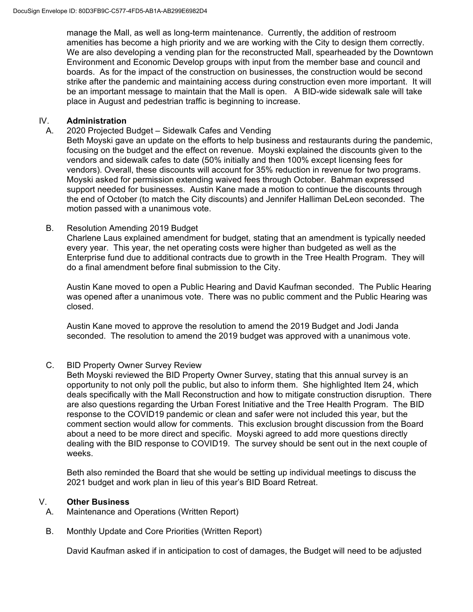manage the Mall, as well as long-term maintenance. Currently, the addition of restroom amenities has become a high priority and we are working with the City to design them correctly. We are also developing a vending plan for the reconstructed Mall, spearheaded by the Downtown Environment and Economic Develop groups with input from the member base and council and boards. As for the impact of the construction on businesses, the construction would be second strike after the pandemic and maintaining access during construction even more important. It will be an important message to maintain that the Mall is open. A BID-wide sidewalk sale will take place in August and pedestrian traffic is beginning to increase.

#### IV. **Administration**

A. 2020 Projected Budget – Sidewalk Cafes and Vending

Beth Moyski gave an update on the efforts to help business and restaurants during the pandemic, focusing on the budget and the effect on revenue. Moyski explained the discounts given to the vendors and sidewalk cafes to date (50% initially and then 100% except licensing fees for vendors). Overall, these discounts will account for 35% reduction in revenue for two programs. Moyski asked for permission extending waived fees through October. Bahman expressed support needed for businesses. Austin Kane made a motion to continue the discounts through the end of October (to match the City discounts) and Jennifer Halliman DeLeon seconded. The motion passed with a unanimous vote.

#### B. Resolution Amending 2019 Budget

Charlene Laus explained amendment for budget, stating that an amendment is typically needed every year. This year, the net operating costs were higher than budgeted as well as the Enterprise fund due to additional contracts due to growth in the Tree Health Program. They will do a final amendment before final submission to the City.

Austin Kane moved to open a Public Hearing and David Kaufman seconded. The Public Hearing was opened after a unanimous vote. There was no public comment and the Public Hearing was closed.

Austin Kane moved to approve the resolution to amend the 2019 Budget and Jodi Janda seconded. The resolution to amend the 2019 budget was approved with a unanimous vote.

## C. BID Property Owner Survey Review

Beth Moyski reviewed the BID Property Owner Survey, stating that this annual survey is an opportunity to not only poll the public, but also to inform them. She highlighted Item 24, which deals specifically with the Mall Reconstruction and how to mitigate construction disruption. There are also questions regarding the Urban Forest Initiative and the Tree Health Program. The BID response to the COVID19 pandemic or clean and safer were not included this year, but the comment section would allow for comments. This exclusion brought discussion from the Board about a need to be more direct and specific. Moyski agreed to add more questions directly dealing with the BID response to COVID19. The survey should be sent out in the next couple of weeks.

Beth also reminded the Board that she would be setting up individual meetings to discuss the 2021 budget and work plan in lieu of this year's BID Board Retreat.

## V. **Other Business**

- A. Maintenance and Operations (Written Report)
- B. Monthly Update and Core Priorities (Written Report)

David Kaufman asked if in anticipation to cost of damages, the Budget will need to be adjusted